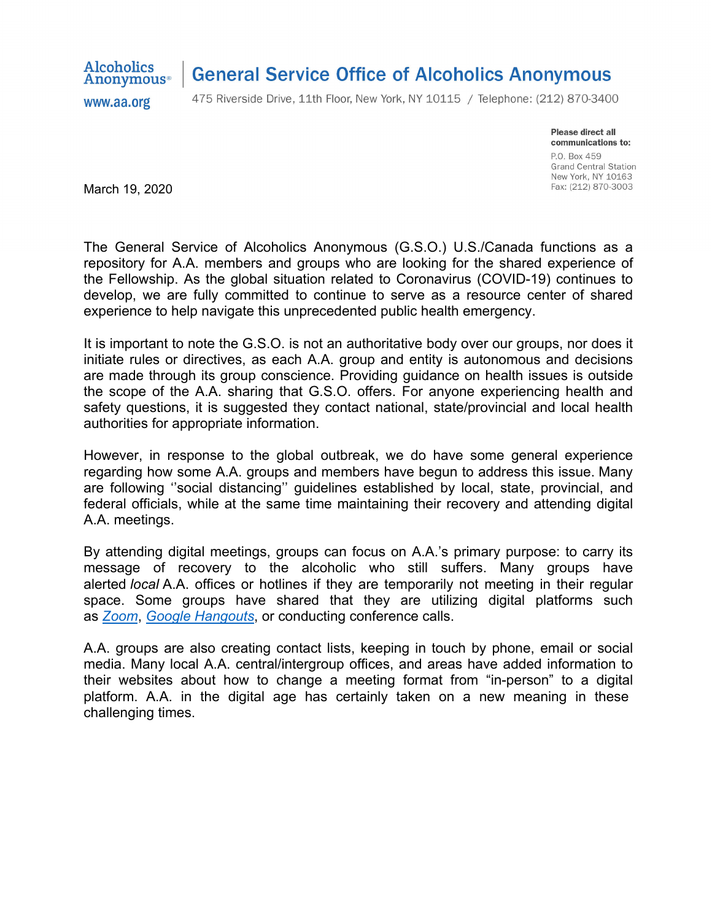

## **General Service Office of Alcoholics Anonymous**

www.aa.org

475 Riverside Drive, 11th Floor, New York, NY 10115 / Telephone: (212) 870-3400

Please direct all communications to: P.O. Box 459 **Grand Central Station** New York, NY 10163 Fax: (212) 870-3003

March 19, 2020

The General Service of Alcoholics Anonymous (G.S.O.) U.S./Canada functions as a repository for A.A. members and groups who are looking for the shared experience of the Fellowship. As the global situation related to Coronavirus (COVID-19) continues to develop, we are fully committed to continue to serve as a resource center of shared experience to help navigate this unprecedented public health emergency.

It is important to note the G.S.O. is not an authoritative body over our groups, nor does it initiate rules or directives, as each A.A. group and entity is autonomous and decisions are made through its group conscience. Providing guidance on health issues is outside the scope of the A.A. sharing that G.S.O. offers. For anyone experiencing health and safety questions, it is suggested they contact national, state/provincial and local health authorities for appropriate information.

However, in response to the global outbreak, we do have some general experience regarding how some A.A. groups and members have begun to address this issue. Many are following ''social distancing'' guidelines established by local, state, provincial, and federal officials, while at the same time maintaining their recovery and attending digital A.A. meetings.

By attending digital meetings, groups can focus on A.A.'s primary purpose: to carry its message of recovery to the alcoholic who still suffers. Many groups have alerted *local* A.A. offices or hotlines if they are temporarily not meeting in their regular space. Some groups have shared that they are utilizing digital platforms such as *[Zoom](www.aa.org/pages/en_US/disclaimer?u=https://support.zoom.us/hc/en-us/articles/201362033-Getting-Started-on-Windows-and-Mac)*, *[Google Hangouts](www.aa.org/pages/en_US/disclaimer?u=https://support.google.com/a/users/answer/9300131?hl=en)*, or conducting conference calls.

A.A. groups are also creating contact lists, keeping in touch by phone, email or social media. Many local A.A. central/intergroup offices, and areas have added information to their websites about how to change a meeting format from "in-person" to a digital platform. A.A. in the digital age has certainly taken on a new meaning in these challenging times.